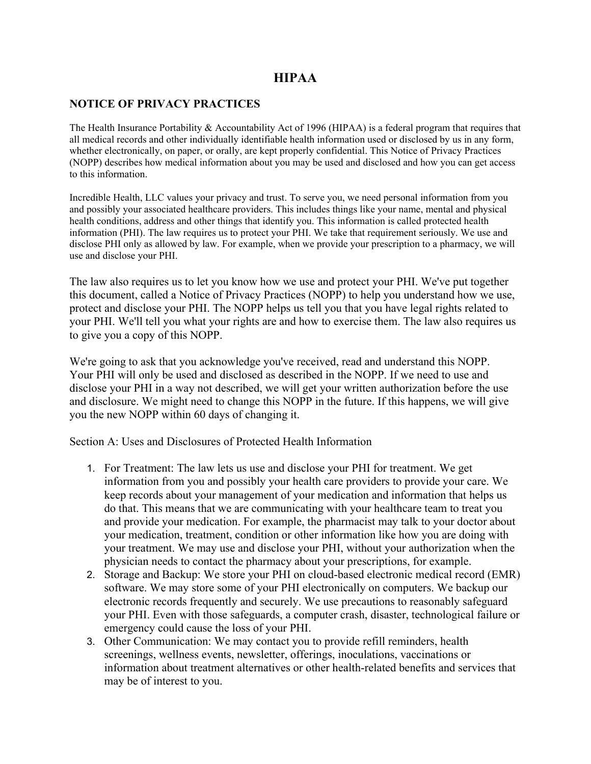## **HIPAA**

## **NOTICE OF PRIVACY PRACTICES**

The Health Insurance Portability & Accountability Act of 1996 (HIPAA) is a federal program that requires that all medical records and other individually identifiable health information used or disclosed by us in any form, whether electronically, on paper, or orally, are kept properly confidential. This Notice of Privacy Practices (NOPP) describes how medical information about you may be used and disclosed and how you can get access to this information.

Incredible Health, LLC values your privacy and trust. To serve you, we need personal information from you and possibly your associated healthcare providers. This includes things like your name, mental and physical health conditions, address and other things that identify you. This information is called protected health information (PHI). The law requires us to protect your PHI. We take that requirement seriously. We use and disclose PHI only as allowed by law. For example, when we provide your prescription to a pharmacy, we will use and disclose your PHI.

The law also requires us to let you know how we use and protect your PHI. We've put together this document, called a Notice of Privacy Practices (NOPP) to help you understand how we use, protect and disclose your PHI. The NOPP helps us tell you that you have legal rights related to your PHI. We'll tell you what your rights are and how to exercise them. The law also requires us to give you a copy of this NOPP.

We're going to ask that you acknowledge you've received, read and understand this NOPP. Your PHI will only be used and disclosed as described in the NOPP. If we need to use and disclose your PHI in a way not described, we will get your written authorization before the use and disclosure. We might need to change this NOPP in the future. If this happens, we will give you the new NOPP within 60 days of changing it.

Section A: Uses and Disclosures of Protected Health Information

- 1. For Treatment: The law lets us use and disclose your PHI for treatment. We get information from you and possibly your health care providers to provide your care. We keep records about your management of your medication and information that helps us do that. This means that we are communicating with your healthcare team to treat you and provide your medication. For example, the pharmacist may talk to your doctor about your medication, treatment, condition or other information like how you are doing with your treatment. We may use and disclose your PHI, without your authorization when the physician needs to contact the pharmacy about your prescriptions, for example.
- 2. Storage and Backup: We store your PHI on cloud-based electronic medical record (EMR) software. We may store some of your PHI electronically on computers. We backup our electronic records frequently and securely. We use precautions to reasonably safeguard your PHI. Even with those safeguards, a computer crash, disaster, technological failure or emergency could cause the loss of your PHI.
- 3. Other Communication: We may contact you to provide refill reminders, health screenings, wellness events, newsletter, offerings, inoculations, vaccinations or information about treatment alternatives or other health-related benefits and services that may be of interest to you.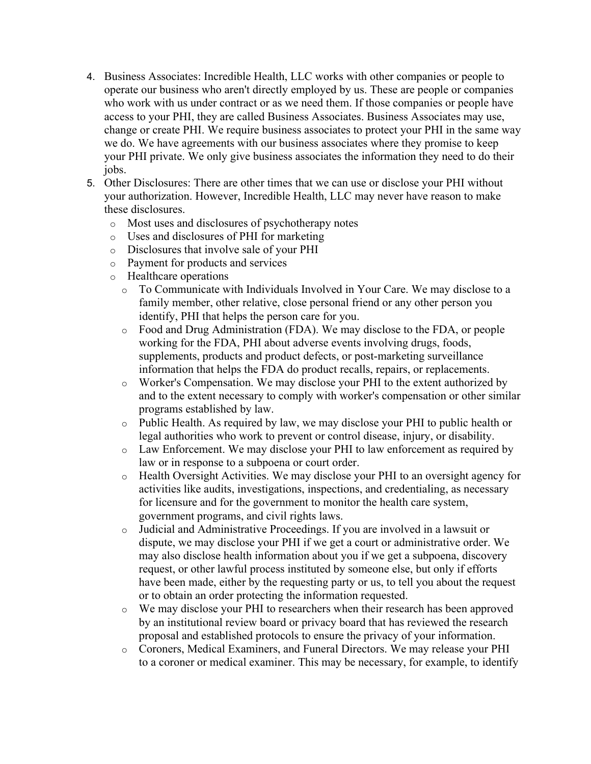- 4. Business Associates: Incredible Health, LLC works with other companies or people to operate our business who aren't directly employed by us. These are people or companies who work with us under contract or as we need them. If those companies or people have access to your PHI, they are called Business Associates. Business Associates may use, change or create PHI. We require business associates to protect your PHI in the same way we do. We have agreements with our business associates where they promise to keep your PHI private. We only give business associates the information they need to do their jobs.
- 5. Other Disclosures: There are other times that we can use or disclose your PHI without your authorization. However, Incredible Health, LLC may never have reason to make these disclosures.
	- o Most uses and disclosures of psychotherapy notes
	- o Uses and disclosures of PHI for marketing
	- o Disclosures that involve sale of your PHI
	- o Payment for products and services
	- o Healthcare operations
		- o To Communicate with Individuals Involved in Your Care. We may disclose to a family member, other relative, close personal friend or any other person you identify, PHI that helps the person care for you.
		- o Food and Drug Administration (FDA). We may disclose to the FDA, or people working for the FDA, PHI about adverse events involving drugs, foods, supplements, products and product defects, or post-marketing surveillance information that helps the FDA do product recalls, repairs, or replacements.
		- o Worker's Compensation. We may disclose your PHI to the extent authorized by and to the extent necessary to comply with worker's compensation or other similar programs established by law.
		- o Public Health. As required by law, we may disclose your PHI to public health or legal authorities who work to prevent or control disease, injury, or disability.
		- o Law Enforcement. We may disclose your PHI to law enforcement as required by law or in response to a subpoena or court order.
		- o Health Oversight Activities. We may disclose your PHI to an oversight agency for activities like audits, investigations, inspections, and credentialing, as necessary for licensure and for the government to monitor the health care system, government programs, and civil rights laws.
		- o Judicial and Administrative Proceedings. If you are involved in a lawsuit or dispute, we may disclose your PHI if we get a court or administrative order. We may also disclose health information about you if we get a subpoena, discovery request, or other lawful process instituted by someone else, but only if efforts have been made, either by the requesting party or us, to tell you about the request or to obtain an order protecting the information requested.
		- o We may disclose your PHI to researchers when their research has been approved by an institutional review board or privacy board that has reviewed the research proposal and established protocols to ensure the privacy of your information.
		- o Coroners, Medical Examiners, and Funeral Directors. We may release your PHI to a coroner or medical examiner. This may be necessary, for example, to identify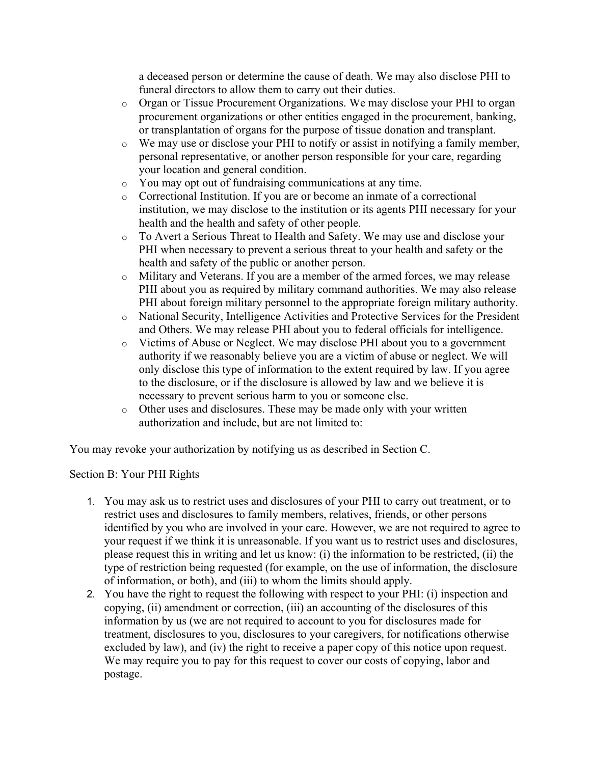a deceased person or determine the cause of death. We may also disclose PHI to funeral directors to allow them to carry out their duties.

- o Organ or Tissue Procurement Organizations. We may disclose your PHI to organ procurement organizations or other entities engaged in the procurement, banking, or transplantation of organs for the purpose of tissue donation and transplant.
- o We may use or disclose your PHI to notify or assist in notifying a family member, personal representative, or another person responsible for your care, regarding your location and general condition.
- o You may opt out of fundraising communications at any time.
- o Correctional Institution. If you are or become an inmate of a correctional institution, we may disclose to the institution or its agents PHI necessary for your health and the health and safety of other people.
- o To Avert a Serious Threat to Health and Safety. We may use and disclose your PHI when necessary to prevent a serious threat to your health and safety or the health and safety of the public or another person.
- o Military and Veterans. If you are a member of the armed forces, we may release PHI about you as required by military command authorities. We may also release PHI about foreign military personnel to the appropriate foreign military authority.
- o National Security, Intelligence Activities and Protective Services for the President and Others. We may release PHI about you to federal officials for intelligence.
- o Victims of Abuse or Neglect. We may disclose PHI about you to a government authority if we reasonably believe you are a victim of abuse or neglect. We will only disclose this type of information to the extent required by law. If you agree to the disclosure, or if the disclosure is allowed by law and we believe it is necessary to prevent serious harm to you or someone else.
- o Other uses and disclosures. These may be made only with your written authorization and include, but are not limited to:

You may revoke your authorization by notifying us as described in Section C.

## Section B: Your PHI Rights

- 1. You may ask us to restrict uses and disclosures of your PHI to carry out treatment, or to restrict uses and disclosures to family members, relatives, friends, or other persons identified by you who are involved in your care. However, we are not required to agree to your request if we think it is unreasonable. If you want us to restrict uses and disclosures, please request this in writing and let us know: (i) the information to be restricted, (ii) the type of restriction being requested (for example, on the use of information, the disclosure of information, or both), and (iii) to whom the limits should apply.
- 2. You have the right to request the following with respect to your PHI: (i) inspection and copying, (ii) amendment or correction, (iii) an accounting of the disclosures of this information by us (we are not required to account to you for disclosures made for treatment, disclosures to you, disclosures to your caregivers, for notifications otherwise excluded by law), and (iv) the right to receive a paper copy of this notice upon request. We may require you to pay for this request to cover our costs of copying, labor and postage.